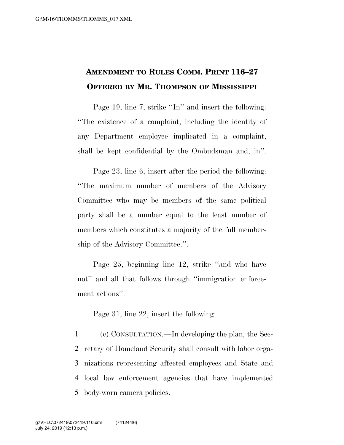## **AMENDMENT TO RULES COMM. PRINT 116–27 OFFERED BY MR. THOMPSON OF MISSISSIPPI**

Page 19, line 7, strike "In" and insert the following: ''The existence of a complaint, including the identity of any Department employee implicated in a complaint, shall be kept confidential by the Ombudsman and, in''.

Page 23, line 6, insert after the period the following: ''The maximum number of members of the Advisory Committee who may be members of the same political party shall be a number equal to the least number of members which constitutes a majority of the full membership of the Advisory Committee.''.

Page 25, beginning line 12, strike ''and who have not'' and all that follows through ''immigration enforcement actions''.

Page 31, line 22, insert the following:

 (c) CONSULTATION.—In developing the plan, the Sec- retary of Homeland Security shall consult with labor orga- nizations representing affected employees and State and local law enforcement agencies that have implemented body-worn camera policies.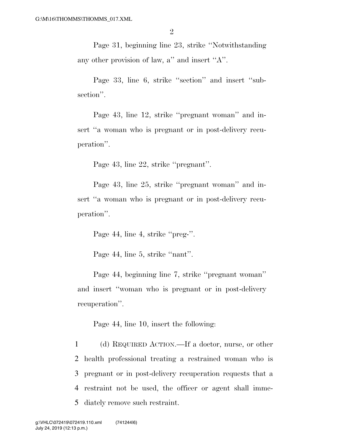Page 31, beginning line 23, strike ''Notwithstanding any other provision of law, a'' and insert ''A''.

Page 33, line 6, strike "section" and insert "subsection''.

Page 43, line 12, strike ''pregnant woman'' and insert "a woman who is pregnant or in post-delivery recuperation''.

Page 43, line 22, strike ''pregnant''.

Page 43, line 25, strike ''pregnant woman'' and insert "a woman who is pregnant or in post-delivery recuperation''.

Page 44, line 4, strike "preg-".

Page 44, line 5, strike "nant".

Page 44, beginning line 7, strike ''pregnant woman'' and insert ''woman who is pregnant or in post-delivery recuperation''.

Page 44, line 10, insert the following:

 (d) REQUIRED ACTION.—If a doctor, nurse, or other health professional treating a restrained woman who is pregnant or in post-delivery recuperation requests that a restraint not be used, the officer or agent shall imme-diately remove such restraint.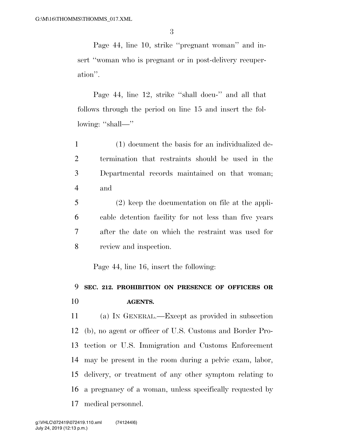Page 44, line 10, strike ''pregnant woman'' and insert "woman who is pregnant or in post-delivery recuperation''.

Page 44, line 12, strike ''shall docu-'' and all that follows through the period on line 15 and insert the following: "shall—"

 (1) document the basis for an individualized de- termination that restraints should be used in the Departmental records maintained on that woman; and

 (2) keep the documentation on file at the appli- cable detention facility for not less than five years after the date on which the restraint was used for review and inspection.

Page 44, line 16, insert the following:

## **SEC. 212. PROHIBITION ON PRESENCE OF OFFICERS OR AGENTS.**

 (a) IN GENERAL.—Except as provided in subsection (b), no agent or officer of U.S. Customs and Border Pro- tection or U.S. Immigration and Customs Enforcement may be present in the room during a pelvic exam, labor, delivery, or treatment of any other symptom relating to a pregnancy of a woman, unless specifically requested by medical personnel.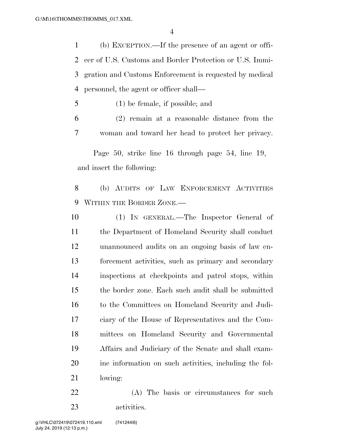(b) EXCEPTION.—If the presence of an agent or offi- cer of U.S. Customs and Border Protection or U.S. Immi- gration and Customs Enforcement is requested by medical personnel, the agent or officer shall—

(1) be female, if possible; and

 (2) remain at a reasonable distance from the woman and toward her head to protect her privacy.

Page 50, strike line 16 through page 54, line 19, and insert the following:

 (b) AUDITS OF LAW ENFORCEMENT ACTIVITIES WITHIN THE BORDER ZONE.—

- (1) IN GENERAL.—The Inspector General of the Department of Homeland Security shall conduct unannounced audits on an ongoing basis of law en- forcement activities, such as primary and secondary inspections at checkpoints and patrol stops, within the border zone. Each such audit shall be submitted to the Committees on Homeland Security and Judi- ciary of the House of Representatives and the Com- mittees on Homeland Security and Governmental Affairs and Judiciary of the Senate and shall exam- ine information on such activities, including the fol-lowing:
- (A) The basis or circumstances for such activities.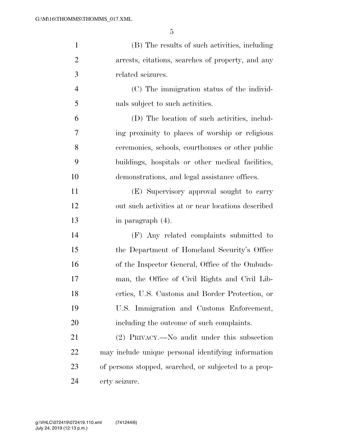| $\mathbf{1}$   | (B) The results of such activities, including         |
|----------------|-------------------------------------------------------|
| $\overline{2}$ | arrests, citations, searches of property, and any     |
| 3              | related seizures.                                     |
| $\overline{4}$ | (C) The immigration status of the individ-            |
| 5              | uals subject to such activities.                      |
| 6              | (D) The location of such activities, includ-          |
| 7              | ing proximity to places of worship or religious       |
| 8              | ceremonies, schools, courthouses or other public      |
| 9              | buildings, hospitals or other medical facilities,     |
| 10             | demonstrations, and legal assistance offices.         |
| 11             | (E) Supervisory approval sought to carry              |
| 12             | out such activities at or near locations described    |
| 13             | in paragraph (4).                                     |
| 14             | (F) Any related complaints submitted to               |
| 15             | the Department of Homeland Security's Office          |
| 16             | of the Inspector General, Office of the Ombuds-       |
| 17             | man, the Office of Civil Rights and Civil Lib-        |
| 18             | erties, U.S. Customs and Border Protection, or        |
| 19             | U.S. Immigration and Customs Enforcement,             |
| 20             | including the outcome of such complaints.             |
| 21             | (2) PRIVACY.—No audit under this subsection           |
| 22             | may include unique personal identifying information   |
| 23             | of persons stopped, searched, or subjected to a prop- |
| 24             | erty seizure.                                         |